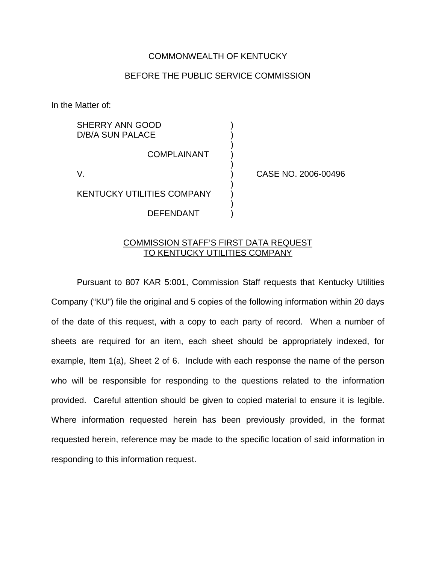## COMMONWEALTH OF KENTUCKY

## BEFORE THE PUBLIC SERVICE COMMISSION

)

)

)

)

In the Matter of:

SHERRY ANN GOOD D/B/A SUN PALACE

**COMPLAINANT** 

KENTUCKY UTILITIES COMPANY )

DEFENDANT )

V. ) CASE NO. 2006-00496

## COMMISSION STAFF'S FIRST DATA REQUEST TO KENTUCKY UTILITIES COMPANY

Pursuant to 807 KAR 5:001, Commission Staff requests that Kentucky Utilities Company ("KU") file the original and 5 copies of the following information within 20 days of the date of this request, with a copy to each party of record. When a number of sheets are required for an item, each sheet should be appropriately indexed, for example, Item 1(a), Sheet 2 of 6. Include with each response the name of the person who will be responsible for responding to the questions related to the information provided. Careful attention should be given to copied material to ensure it is legible. Where information requested herein has been previously provided, in the format requested herein, reference may be made to the specific location of said information in responding to this information request.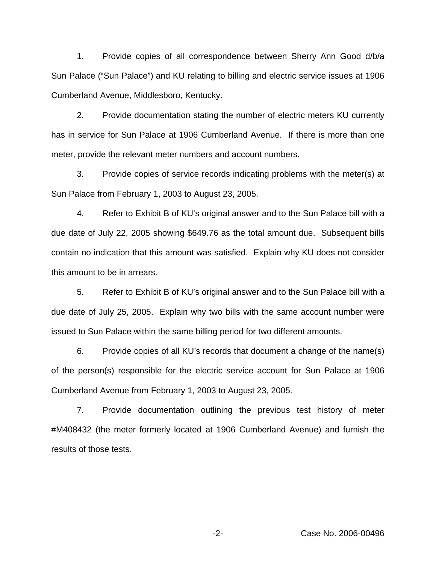1. Provide copies of all correspondence between Sherry Ann Good d/b/a Sun Palace ("Sun Palace") and KU relating to billing and electric service issues at 1906 Cumberland Avenue, Middlesboro, Kentucky.

2. Provide documentation stating the number of electric meters KU currently has in service for Sun Palace at 1906 Cumberland Avenue. If there is more than one meter, provide the relevant meter numbers and account numbers.

3. Provide copies of service records indicating problems with the meter(s) at Sun Palace from February 1, 2003 to August 23, 2005.

4. Refer to Exhibit B of KU's original answer and to the Sun Palace bill with a due date of July 22, 2005 showing \$649.76 as the total amount due. Subsequent bills contain no indication that this amount was satisfied. Explain why KU does not consider this amount to be in arrears.

5. Refer to Exhibit B of KU's original answer and to the Sun Palace bill with a due date of July 25, 2005. Explain why two bills with the same account number were issued to Sun Palace within the same billing period for two different amounts.

6. Provide copies of all KU's records that document a change of the name(s) of the person(s) responsible for the electric service account for Sun Palace at 1906 Cumberland Avenue from February 1, 2003 to August 23, 2005.

7. Provide documentation outlining the previous test history of meter #M408432 (the meter formerly located at 1906 Cumberland Avenue) and furnish the results of those tests.

-2- Case No. 2006-00496